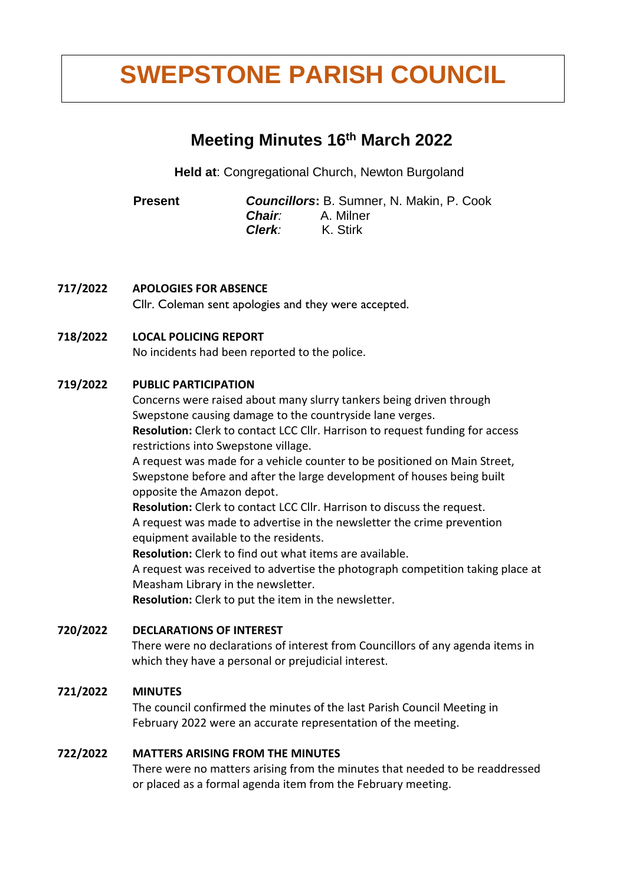# **2.00/6 SWEPSTONE PARISH COUNCIL**

# **Meeting Minutes 16 th March 2022**

**Held at**: Congregational Church, Newton Burgoland

 **Present** *Councillors***:** B. Sumner, N. Makin, P. Cook *Chair:* A. Milner *Clerk:* K. Stirk

**717/2022 APOLOGIES FOR ABSENCE**

**Cllr. Coleman sent apologies and they were accepted.**

# **718/2022 LOCAL POLICING REPORT**

No incidents had been reported to the police.

# **719/2022 PUBLIC PARTICIPATION**

Concerns were raised about many slurry tankers being driven through Swepstone causing damage to the countryside lane verges.

**Resolution:** Clerk to contact LCC Cllr. Harrison to request funding for access restrictions into Swepstone village.

A request was made for a vehicle counter to be positioned on Main Street, Swepstone before and after the large development of houses being built opposite the Amazon depot.

**Resolution:** Clerk to contact LCC Cllr. Harrison to discuss the request. A request was made to advertise in the newsletter the crime prevention equipment available to the residents.

**Resolution:** Clerk to find out what items are available.

A request was received to advertise the photograph competition taking place at Measham Library in the newsletter.

**Resolution:** Clerk to put the item in the newsletter.

#### **720/2022 DECLARATIONS OF INTEREST**

There were no declarations of interest from Councillors of any agenda items in which they have a personal or prejudicial interest.

# **721/2022 MINUTES**

The council confirmed the minutes of the last Parish Council Meeting in February 2022 were an accurate representation of the meeting.

#### **722/2022 MATTERS ARISING FROM THE MINUTES**

There were no matters arising from the minutes that needed to be readdressed or placed as a formal agenda item from the February meeting.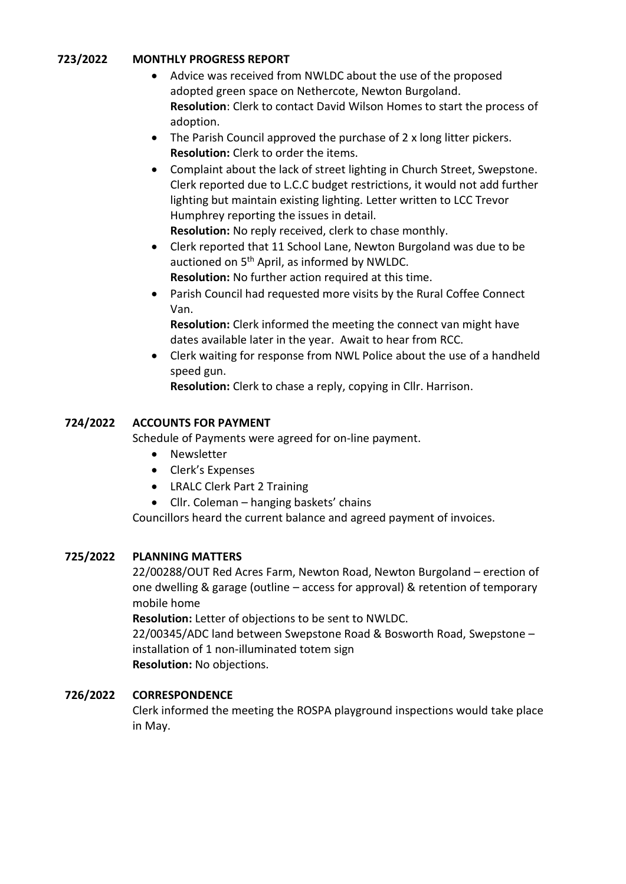# **723/2022 MONTHLY PROGRESS REPORT**

- Advice was received from NWLDC about the use of the proposed adopted green space on Nethercote, Newton Burgoland. **Resolution**: Clerk to contact David Wilson Homes to start the process of adoption.
- The Parish Council approved the purchase of 2 x long litter pickers. **Resolution:** Clerk to order the items.
- Complaint about the lack of street lighting in Church Street, Swepstone. Clerk reported due to L.C.C budget restrictions, it would not add further lighting but maintain existing lighting. Letter written to LCC Trevor Humphrey reporting the issues in detail. **Resolution:** No reply received, clerk to chase monthly.
- Clerk reported that 11 School Lane, Newton Burgoland was due to be auctioned on 5<sup>th</sup> April, as informed by NWLDC. **Resolution:** No further action required at this time.
- Parish Council had requested more visits by the Rural Coffee Connect Van.

**Resolution:** Clerk informed the meeting the connect van might have dates available later in the year. Await to hear from RCC.

• Clerk waiting for response from NWL Police about the use of a handheld speed gun.

**Resolution:** Clerk to chase a reply, copying in Cllr. Harrison.

# **724/2022 ACCOUNTS FOR PAYMENT**

Schedule of Payments were agreed for on-line payment.

- Newsletter
- Clerk's Expenses
- LRALC Clerk Part 2 Training
- Cllr. Coleman hanging baskets' chains

Councillors heard the current balance and agreed payment of invoices.

#### **725/2022 PLANNING MATTERS**

22/00288/OUT Red Acres Farm, Newton Road, Newton Burgoland – erection of one dwelling & garage (outline – access for approval) & retention of temporary mobile home

**Resolution:** Letter of objections to be sent to NWLDC.

22/00345/ADC land between Swepstone Road & Bosworth Road, Swepstone – installation of 1 non-illuminated totem sign **Resolution:** No objections.

#### **726/2022 CORRESPONDENCE**

Clerk informed the meeting the ROSPA playground inspections would take place in May.